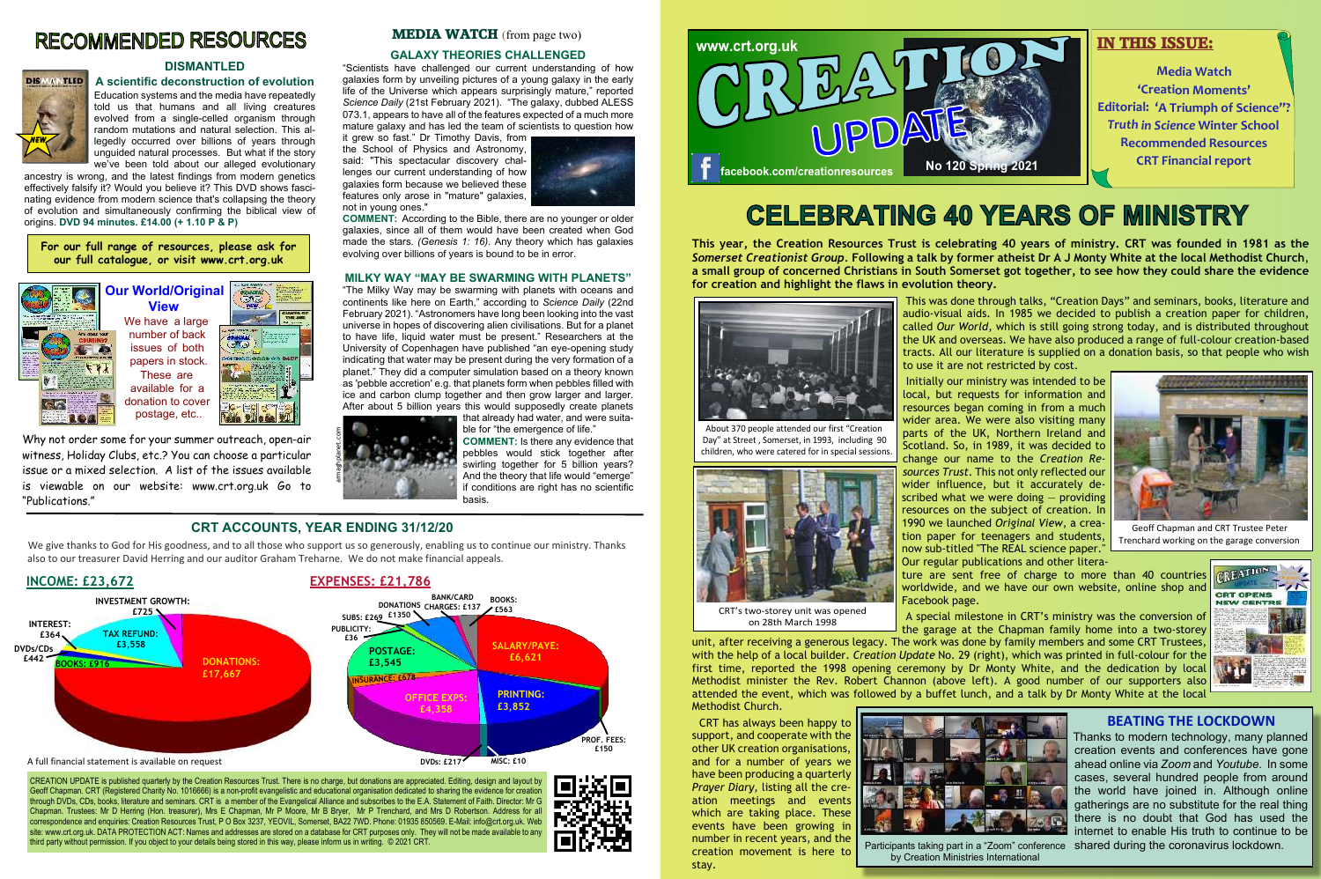**This year, the Creation Resources Trust is celebrating 40 years of ministry. CRT was founded in 1981 as the** *Somerset Creationist Group.* **Following a talk by former atheist Dr A J Monty White at the local Methodist Church**, **a small group of concerned Christians in South Somerset got together, to see how they could share the evidence for creation and highlight the flaws in evolution theory.**



 This was done through talks, "Creation Days" and seminars, books, literature and audio-visual aids. In 1985 we decided to publish a creation paper for children, called *Our World,* which is still going strong today, and is distributed throughout the UK and overseas. We have also produced a range of full-colour creation-based tracts. All our literature is supplied on a donation basis, so that people who wish

A special milestone in CRT's ministry was the conversion of the garage at the Chapman family home into a two-storey unit, after receiving a generous legacy. The work was done by family members and some CRT Trustees, with the help of a local builder. *Creation Update* No. 29 (right), which was printed in full-colour for the first time, reported the 1998 opening ceremony by Dr Monty White, and the dedication by local Methodist minister the Rev. Robert Channon (above left). A good number of our supporters also attended the event, which was followed by a buffet lunch, and a talk by Dr Monty White at the local Methodist Church.

 Initially our ministry was intended to be local, but requests for information and resources began coming in from a much wider area. We were also visiting many parts of the UK, Northern Ireland and Scotland. So, in 1989, it was decided to change our name to the *Creation Resources Trust*. This not only reflected our wider influence, but it accurately described what we were doing — providing resources on the subject of creation. In 1990 we launched *Original View*, a creation paper for teenagers and students, now sub-titled "The REAL science paper."

to use it are not restricted by cost. Our regular publications and other litera-Facebook page.

ture are sent free of charge to more than 40 countries worldwide, and we have our own website, online shop and

 CRT has always been happy to support, and cooperate with the other UK creation organisations, and for a number of years we have been producing a quarterly *Prayer Diary,* listing all the creation meetings and events which are taking place. These events have been growing in number in recent years, and the creation movement is here to stay.

### **DISMANTLED**

**A scientific deconstruction of evolution** Education systems and the media have repeatedly told us that humans and all living creatures evolved from a single-celled organism through random mutations and natural selection. This allegedly occurred over billions of years through unguided natural processes. But what if the story

we've been told about our alleged evolutionary ancestry is wrong, and the latest findings from modern genetics effectively falsify it? Would you believe it? This DVD shows fascinating evidence from modern science that's collapsing the theory of evolution and simultaneously confirming the biblical view of origins. **DVD 94 minutes. £14.00 (+ 1.10 P & P)**



#### **GALAXY THEORIES CHALLENGED**

"Scientists have challenged our current understanding of how galaxies form by unveiling pictures of a young galaxy in the early life of the Universe which appears surprisingly mature," reported *Science Daily* (21st February 2021). "The galaxy, dubbed ALESS 073.1, appears to have all of the features expected of a much more mature galaxy and has led the team of scientists to question how

We give thanks to God for His goodness, and to all those who support us so generously, enabling us to continue our ministry. Thanks also to our treasurer David Herring and our auditor Graham Treharne. We do not make financial appeals.

it grew so fast." Dr Timothy Davis, from the School of Physics and Astronomy, said: "This spectacular discovery challenges our current understanding of how galaxies form because we believed these features only arose in "mature" galaxies, not in young ones."



**COMMENT:** According to the Bible, there are no younger or older galaxies, since all of them would have been created when God made the stars. *(Genesis 1: 16).* Any theory which has galaxies evolving over billions of years is bound to be in error.

#### **MILKY WAY "MAY BE SWARMING WITH PLANETS"**

"The Milky Way may be swarming with planets with oceans and continents like here on Earth," according to *Science Daily* (22nd February 2021). "Astronomers have long been looking into the vast universe in hopes of discovering alien civilisations. But for a planet to have life, liquid water must be present." Researchers at the University of Copenhagen have published "an eye-opening study indicating that water may be present during the very formation of a planet." They did a computer simulation based on a theory known as 'pebble accretion' e.g. that planets form when pebbles filled with ice and carbon clump together and then grow larger and larger. After about 5 billion years this would supposedly create planets

that already had water, and were suitable for "the emergence of life."

**COMMENT:** Is there any evidence that pebbles would stick together after swirling together for 5 billion years? And the theory that life would "emerge" if conditions are right has no scientific basis.

CREATION UPDATE is published quarterly by the Creation Resources Trust. There is no charge, but donations are appreciated. Editing, design and layout by Geoff Chapman. CRT (Registered Charity No. 1016666) is a non-profit evangelistic and educational organisation dedicated to sharing the evidence for creation through DVDs, CDs, books, literature and seminars. CRT is a member of the Evangelical Alliance and subscribes to the E.A. Statement of Faith. Director: Mr G Chapman. Trustees: Mr D Herring (Hon. treasurer), Mrs E Chapman, Mr P Moore, Mr B Bryer, Mr P Trenchard, and Mrs D Robertson. Address for all correspondence and enquiries: Creation Resources Trust, P O Box 3237, YEOVIL, Somerset, BA22 7WD. Phone: 01935 850569. E-Mail: info@crt.org.uk. Web site: www.crt.org.uk. DATA PROTECTION ACT: Names and addresses are stored on a database for CRT purposes only. They will not be made available to any third party without permission. If you object to your details being stored in this way, please inform us in writing. © 2021 CRT.



## **CELEBRATING 40 YEARS OF MINISTRY**

## **RECOMMENDED RESOURCES**







Trenchard working on the garage conversion

CRT's two-storey unit was opened on 28th March 1998

About 370 people attended our first "Creation Day" at Street , Somerset, in 1993, including 90 children, who were catered for in special sessions.





by Creation Ministries International

#### **CRT ACCOUNTS, YEAR ENDING 31/12/20**

CUMTS OF





Participants taking part in a "Zoom" conference shared during the coronavirus lockdown.Thanks to modern technology, many planned creation events and conferences have gone ahead online via *Zoom* and *Youtube*. In some cases, several hundred people from around the world have joined in. Although online gatherings are no substitute for the real thing, there is no doubt that God has used the internet to enable His truth to continue to be

Why not order some for your summer outreach, open-air witness, Holiday Clubs, etc.? You can choose a particular issue or a mixed selection. A list of the issues available is viewable on our website: www.crt.org.uk Go to "Publications."

## **MEDIA WATCH** (from page two)



#### **BEATING THE LOCKDOWN**